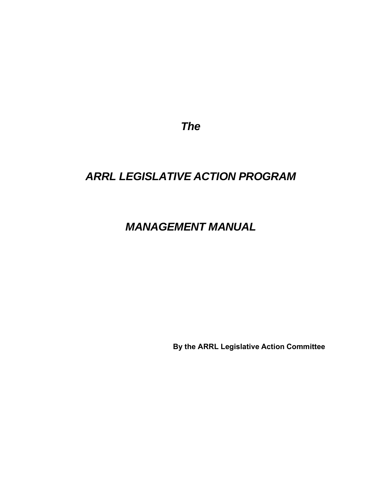*The*

# *ARRL LEGISLATIVE ACTION PROGRAM*

# *MANAGEMENT MANUAL*

**By the ARRL Legislative Action Committee**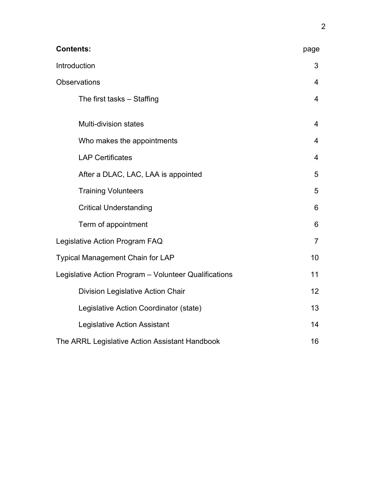| <b>Contents:</b>                                      | page            |
|-------------------------------------------------------|-----------------|
| Introduction                                          | 3               |
| <b>Observations</b>                                   | $\overline{4}$  |
| The first tasks – Staffing                            | $\overline{4}$  |
| <b>Multi-division states</b>                          | $\overline{4}$  |
| Who makes the appointments                            | 4               |
| <b>LAP Certificates</b>                               | 4               |
| After a DLAC, LAC, LAA is appointed                   | 5               |
| <b>Training Volunteers</b>                            | 5               |
| <b>Critical Understanding</b>                         | 6               |
| Term of appointment                                   | 6               |
| Legislative Action Program FAQ                        | $\overline{7}$  |
| Typical Management Chain for LAP                      | 10              |
| Legislative Action Program - Volunteer Qualifications | 11              |
| <b>Division Legislative Action Chair</b>              | 12 <sub>2</sub> |
| Legislative Action Coordinator (state)                | 13              |
| Legislative Action Assistant                          | 14              |
| The ARRL Legislative Action Assistant Handbook        | 16              |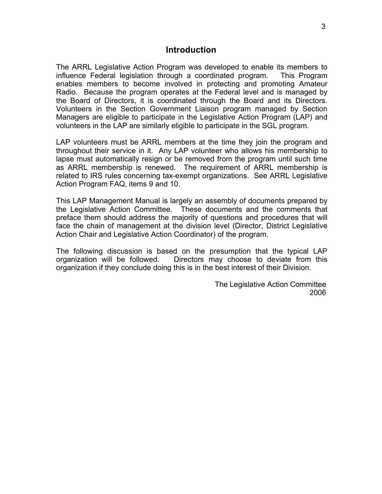#### **Introduction**

The ARRL Legislative Action Program was developed to enable its members to influence Federal legislation through a coordinated program. This Program enables members to become involved in protecting and promoting Amateur Radio. Because the program operates at the Federal level and is managed by the Board of Directors, it is coordinated through the Board and its Directors. Volunteers in the Section Government Liaison program managed by Section Managers are eligible to participate in the Legislative Action Program (LAP) and volunteers in the LAP are similarly eligible to participate in the SGL program.

LAP volunteers must be ARRL members at the time they join the program and throughout their service in it. Any LAP volunteer who allows his membership to lapse must automatically resign or be removed from the program until such time as ARRL membership is renewed. The requirement of ARRL membership is related to IRS rules concerning tax-exempt organizations. See ARRL Legislative Action Program FAQ, items 9 and 10.

This LAP Management Manual is largely an assembly of documents prepared by the Legislative Action Committee. These documents and the comments that preface them should address the majority of questions and procedures that will face the chain of management at the division level (Director, District Legislative Action Chair and Legislative Action Coordinator) of the program.

The following discussion is based on the presumption that the typical LAP organization will be followed. Directors may choose to deviate from this organization if they conclude doing this is in the best interest of their Division.

> The Legislative Action Committee 2006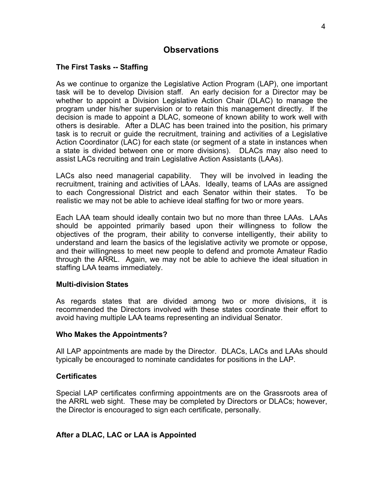# **Observations**

## **The First Tasks -- Staffing**

As we continue to organize the Legislative Action Program (LAP), one important task will be to develop Division staff. An early decision for a Director may be whether to appoint a Division Legislative Action Chair (DLAC) to manage the program under his/her supervision or to retain this management directly. If the decision is made to appoint a DLAC, someone of known ability to work well with others is desirable. After a DLAC has been trained into the position, his primary task is to recruit or guide the recruitment, training and activities of a Legislative Action Coordinator (LAC) for each state (or segment of a state in instances when a state is divided between one or more divisions). DLACs may also need to assist LACs recruiting and train Legislative Action Assistants (LAAs).

LACs also need managerial capability. They will be involved in leading the recruitment, training and activities of LAAs. Ideally, teams of LAAs are assigned to each Congressional District and each Senator within their states. To be realistic we may not be able to achieve ideal staffing for two or more years.

Each LAA team should ideally contain two but no more than three LAAs. LAAs should be appointed primarily based upon their willingness to follow the objectives of the program, their ability to converse intelligently, their ability to understand and learn the basics of the legislative activity we promote or oppose, and their willingness to meet new people to defend and promote Amateur Radio through the ARRL. Again, we may not be able to achieve the ideal situation in staffing LAA teams immediately.

#### **Multi-division States**

As regards states that are divided among two or more divisions, it is recommended the Directors involved with these states coordinate their effort to avoid having multiple LAA teams representing an individual Senator.

#### **Who Makes the Appointments?**

All LAP appointments are made by the Director. DLACs, LACs and LAAs should typically be encouraged to nominate candidates for positions in the LAP.

#### **Certificates**

Special LAP certificates confirming appointments are on the Grassroots area of the ARRL web sight. These may be completed by Directors or DLACs; however, the Director is encouraged to sign each certificate, personally.

### **After a DLAC, LAC or LAA is Appointed**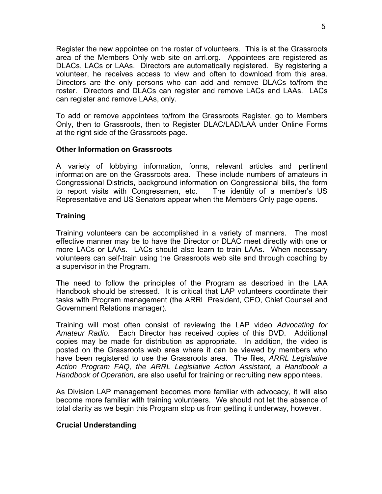Register the new appointee on the roster of volunteers. This is at the Grassroots area of the Members Only web site on arrl.org. Appointees are registered as DLACs, LACs or LAAs. Directors are automatically registered. By registering a volunteer, he receives access to view and often to download from this area. Directors are the only persons who can add and remove DLACs to/from the roster. Directors and DLACs can register and remove LACs and LAAs. LACs can register and remove LAAs, only.

To add or remove appointees to/from the Grassroots Register, go to Members Only, then to Grassroots, then to Register DLAC/LAD/LAA under Online Forms at the right side of the Grassroots page.

#### **Other Information on Grassroots**

A variety of lobbying information, forms, relevant articles and pertinent information are on the Grassroots area. These include numbers of amateurs in Congressional Districts, background information on Congressional bills, the form to report visits with Congressmen, etc. The identity of a member's US Representative and US Senators appear when the Members Only page opens.

### **Training**

Training volunteers can be accomplished in a variety of manners. The most effective manner may be to have the Director or DLAC meet directly with one or more LACs or LAAs. LACs should also learn to train LAAs. When necessary volunteers can self-train using the Grassroots web site and through coaching by a supervisor in the Program.

The need to follow the principles of the Program as described in the LAA Handbook should be stressed. It is critical that LAP volunteers coordinate their tasks with Program management (the ARRL President, CEO, Chief Counsel and Government Relations manager).

Training will most often consist of reviewing the LAP video *Advocating for Amateur Radio.* Each Director has received copies of this DVD. Additional copies may be made for distribution as appropriate. In addition, the video is posted on the Grassroots web area where it can be viewed by members who have been registered to use the Grassroots area. The files, *ARRL Legislative Action Program FAQ, the ARRL Legislative Action Assistant, a Handbook a Handbook of Operation,* are also useful for training or recruiting new appointees.

As Division LAP management becomes more familiar with advocacy, it will also become more familiar with training volunteers. We should not let the absence of total clarity as we begin this Program stop us from getting it underway, however.

### **Crucial Understanding**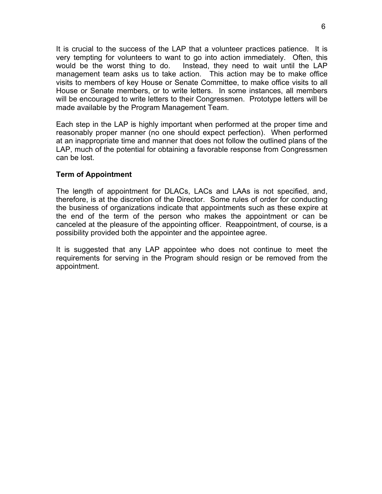It is crucial to the success of the LAP that a volunteer practices patience. It is very tempting for volunteers to want to go into action immediately. Often, this would be the worst thing to do. Instead, they need to wait until the LAP management team asks us to take action. This action may be to make office visits to members of key House or Senate Committee, to make office visits to all House or Senate members, or to write letters. In some instances, all members will be encouraged to write letters to their Congressmen. Prototype letters will be made available by the Program Management Team.

Each step in the LAP is highly important when performed at the proper time and reasonably proper manner (no one should expect perfection). When performed at an inappropriate time and manner that does not follow the outlined plans of the LAP, much of the potential for obtaining a favorable response from Congressmen can be lost.

### **Term of Appointment**

The length of appointment for DLACs, LACs and LAAs is not specified, and, therefore, is at the discretion of the Director. Some rules of order for conducting the business of organizations indicate that appointments such as these expire at the end of the term of the person who makes the appointment or can be canceled at the pleasure of the appointing officer. Reappointment, of course, is a possibility provided both the appointer and the appointee agree.

It is suggested that any LAP appointee who does not continue to meet the requirements for serving in the Program should resign or be removed from the appointment.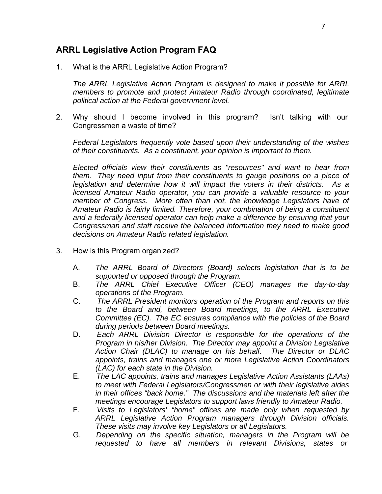# **ARRL Legislative Action Program FAQ**

1. What is the ARRL Legislative Action Program?

*The ARRL Legislative Action Program is designed to make it possible for ARRL members to promote and protect Amateur Radio through coordinated, legitimate political action at the Federal government level.*

2. Why should I become involved in this program? Isn't talking with our Congressmen a waste of time?

*Federal Legislators frequently vote based upon their understanding of the wishes of their constituents. As a constituent, your opinion is important to them.*

*Elected officials view their constituents as "resources" and want to hear from them. They need input from their constituents to gauge positions on a piece of legislation and determine how it will impact the voters in their districts. As a licensed Amateur Radio operator, you can provide a valuable resource to your member of Congress. More often than not, the knowledge Legislators have of Amateur Radio is fairly limited. Therefore, your combination of being a constituent and a federally licensed operator can help make a difference by ensuring that your Congressman and staff receive the balanced information they need to make good decisions on Amateur Radio related legislation.*

- 3. How is this Program organized?
	- A. *The ARRL Board of Directors (Board) selects legislation that is to be supported or opposed through the Program.*
	- B. *The ARRL Chief Executive Officer (CEO) manages the day-to-day operations of the Program.*
	- C. *The ARRL President monitors operation of the Program and reports on this to the Board and, between Board meetings, to the ARRL Executive Committee (EC). The EC ensures compliance with the policies of the Board during periods between Board meetings.*
	- D. *Each ARRL Division Director is responsible for the operations of the Program in his/her Division. The Director may appoint a Division Legislative Action Chair (DLAC) to manage on his behalf. The Director or DLAC appoints, trains and manages one or more Legislative Action Coordinators (LAC) for each state in the Division.*
	- E. *The LAC appoints, trains and manages Legislative Action Assistants (LAAs) to meet with Federal Legislators/Congressmen or with their legislative aides in their offices "back home." The discussions and the materials left after the meetings encourage Legislators to support laws friendly to Amateur Radio.*
	- F. *Visits to Legislators' "home" offices are made only when requested by ARRL Legislative Action Program managers through Division officials. These visits may involve key Legislators or all Legislators.*
	- G. *Depending on the specific situation, managers in the Program will be requested to have all members in relevant Divisions, states or*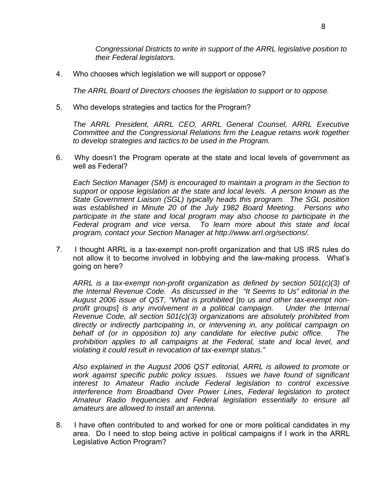*Congressional Districts to write in support of the ARRL legislative position to their Federal legislators.*

4. Who chooses which legislation we will support or oppose?

*The ARRL Board of Directors chooses the legislation to support or to oppose.*

5. Who develops strategies and tactics for the Program?

*The ARRL President, ARRL CEO, ARRL General Counsel, ARRL Executive Committee and the Congressional Relations firm the League retains work together to develop strategies and tactics to be used in the Program.*

6. Why doesn't the Program operate at the state and local levels of government as well as Federal?

*Each Section Manager (SM) is encouraged to maintain a program in the Section to support or oppose legislation at the state and local levels. A person known as the State Government Liaison (SGL) typically heads this program. The SGL position was established in Minute 20 of the July 1982 Board Meeting. Persons who*  participate in the state and local program may also choose to participate in the *Federal program and vice versa. To learn more about this state and local program, contact your Section Manager at http://www.arrl.org/sections/.*

7. I thought ARRL is a tax-exempt non-profit organization and that US IRS rules do not allow it to become involved in lobbying and the law-making process. What's going on here?

*ARRL is a tax-exempt non-profit organization as defined by section 501(c)(3) of the Internal Revenue Code. As discussed in the "It Seems to Us" editorial in the August 2006 issue of QST, "What is prohibited* [*to us and other tax-exempt nonprofit groups*] *is any involvement in a political campaign. Under the Internal Revenue Code, all section 501(c)(3) organizations are absolutely prohibited from directly or indirectly participating in, or intervening in, any political campaign on behalf of (or in opposition to) any candidate for elective pubic office. The prohibition applies to all campaigns at the Federal, state and local level, and violating it could result in revocation of tax-exempt status."*

*Also explained in the August 2006 QST editorial, ARRL is allowed to promote or work against specific public policy issues. Issues we have found of significant interest to Amateur Radio include Federal legislation to control excessive interference from Broadband Over Power Lines, Federal legislation to protect Amateur Radio frequencies and Federal legislation essentially to ensure all amateurs are allowed to install an antenna.*

8. I have often contributed to and worked for one or more political candidates in my area. Do I need to stop being active in political campaigns if I work in the ARRL Legislative Action Program?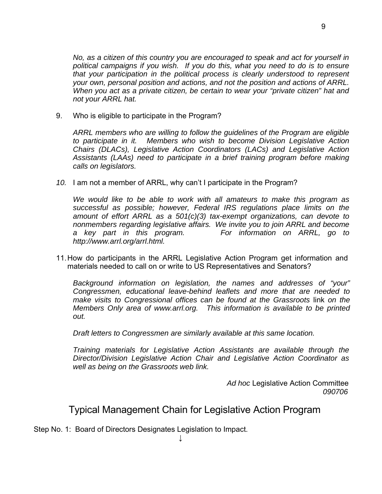9. Who is eligible to participate in the Program?

*ARRL members who are willing to follow the guidelines of the Program are eligible to participate in it. Members who wish to become Division Legislative Action Chairs (DLACs), Legislative Action Coordinators (LACs) and Legislative Action Assistants (LAAs) need to participate in a brief training program before making calls on legislators.*

*10.* I am not a member of ARRL, why can't I participate in the Program?

*We would like to be able to work with all amateurs to make this program as successful as possible; however, Federal IRS regulations place limits on the amount of effort ARRL as a 501(c)(3) tax-exempt organizations, can devote to nonmembers regarding legislative affairs. We invite you to join ARRL and become a key part in this program. For information on ARRL, go to http://www.arrl.org/arrl.html.*

11. How do participants in the ARRL Legislative Action Program get information and materials needed to call on or write to US Representatives and Senators?

*Background information on legislation, the names and addresses of "your" Congressmen, educational leave-behind leaflets and more that are needed to make visits to Congressional offices can be found at the Grassroots link on the Members Only area of www.arrl.org. This information is available to be printed out.*

*Draft letters to Congressmen are similarly available at this same location.*

*Training materials for Legislative Action Assistants are available through the Director/Division Legislative Action Chair and Legislative Action Coordinator as well as being on the Grassroots web link.*

> *Ad hoc* Legislative Action Committee *090706*

Typical Management Chain for Legislative Action Program

Step No. 1: Board of Directors Designates Legislation to Impact.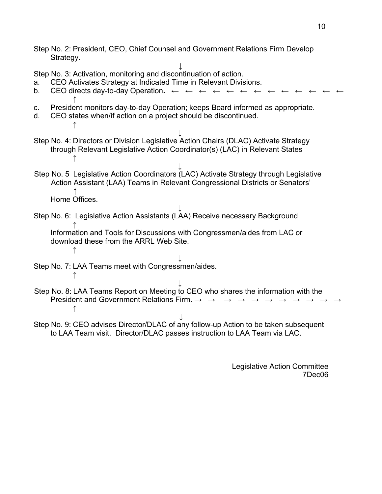Step No. 2: President, CEO, Chief Counsel and Government Relations Firm Develop Strategy.

**↓** Step No. 3: Activation, monitoring and discontinuation of action. a. CEO Activates Strategy at Indicated Time in Relevant Divisions. b. CEO directs day-to-day Operation. ← ← ← ← **↑** c. President monitors day-to-day Operation; keeps Board informed as appropriate. d. CEO states when/if action on a project should be discontinued. ↑ ↓ Step No. 4: Directors or Division Legislative Action Chairs (DLAC) Activate Strategy through Relevant Legislative Action Coordinator(s) (LAC) in Relevant States ↑ ↓ Step No. 5 Legislative Action Coordinators (LAC) Activate Strategy through Legislative Action Assistant (LAA) Teams in Relevant Congressional Districts or Senators' ↑ Home Offices. ↓ Step No. 6: Legislative Action Assistants (LAA) Receive necessary Background ↑ Information and Tools for Discussions with Congressmen/aides from LAC or download these from the ARRL Web Site. ↑ ↓ Step No. 7: LAA Teams meet with Congressmen/aides. ↑ ↓ Step No. 8: LAA Teams Report on Meeting to CEO who shares the information with the President and Government Relations Firm.  $\rightarrow \rightarrow$ ↑ ↓ Step No. 9: CEO advises Director/DLAC of any follow-up Action to be taken subsequent

to LAA Team visit. Director/DLAC passes instruction to LAA Team via LAC.

Legislative Action Committee 7Dec06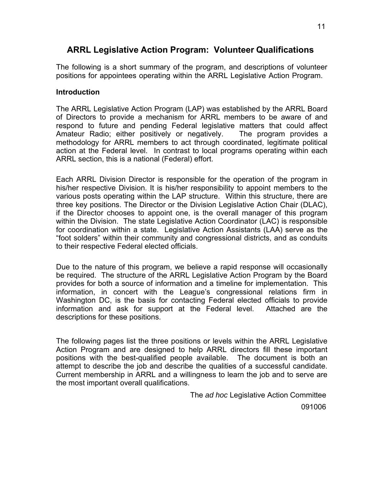# **ARRL Legislative Action Program: Volunteer Qualifications**

The following is a short summary of the program, and descriptions of volunteer positions for appointees operating within the ARRL Legislative Action Program.

## **Introduction**

The ARRL Legislative Action Program (LAP) was established by the ARRL Board of Directors to provide a mechanism for ARRL members to be aware of and respond to future and pending Federal legislative matters that could affect Amateur Radio; either positively or negatively. The program provides a methodology for ARRL members to act through coordinated, legitimate political action at the Federal level. In contrast to local programs operating within each ARRL section, this is a national (Federal) effort.

Each ARRL Division Director is responsible for the operation of the program in his/her respective Division. It is his/her responsibility to appoint members to the various posts operating within the LAP structure. Within this structure, there are three key positions. The Director or the Division Legislative Action Chair (DLAC), if the Director chooses to appoint one, is the overall manager of this program within the Division. The state Legislative Action Coordinator (LAC) is responsible for coordination within a state. Legislative Action Assistants (LAA) serve as the "foot solders" within their community and congressional districts, and as conduits to their respective Federal elected officials.

Due to the nature of this program, we believe a rapid response will occasionally be required. The structure of the ARRL Legislative Action Program by the Board provides for both a source of information and a timeline for implementation. This information, in concert with the League's congressional relations firm in Washington DC, is the basis for contacting Federal elected officials to provide information and ask for support at the Federal level. Attached are the descriptions for these positions.

The following pages list the three positions or levels within the ARRL Legislative Action Program and are designed to help ARRL directors fill these important positions with the best-qualified people available. The document is both an attempt to describe the job and describe the qualities of a successful candidate. Current membership in ARRL and a willingness to learn the job and to serve are the most important overall qualifications.

The *ad hoc* Legislative Action Committee

091006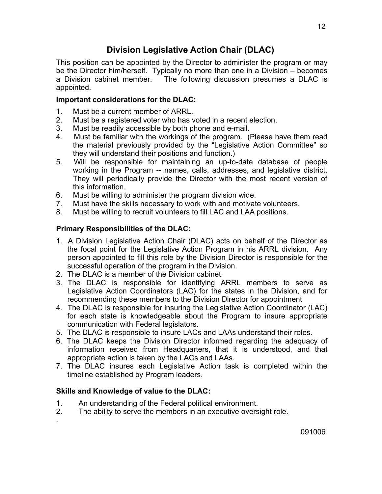# **Division Legislative Action Chair (DLAC)**

This position can be appointed by the Director to administer the program or may be the Director him/herself. Typically no more than one in a Division – becomes a Division cabinet member. The following discussion presumes a DLAC is appointed.

# **Important considerations for the DLAC:**

- 1. Must be a current member of ARRL.
- 2. Must be a registered voter who has voted in a recent election.
- 3. Must be readily accessible by both phone and e-mail.
- 4. Must be familiar with the workings of the program. (Please have them read the material previously provided by the "Legislative Action Committee" so they will understand their positions and function.)
- 5. Will be responsible for maintaining an up-to-date database of people working in the Program -- names, calls, addresses, and legislative district. They will periodically provide the Director with the most recent version of this information.
- 6. Must be willing to administer the program division wide.
- 7. Must have the skills necessary to work with and motivate volunteers.
- 8. Must be willing to recruit volunteers to fill LAC and LAA positions.

# **Primary Responsibilities of the DLAC:**

- 1. A Division Legislative Action Chair (DLAC) acts on behalf of the Director as the focal point for the Legislative Action Program in his ARRL division. Any person appointed to fill this role by the Division Director is responsible for the successful operation of the program in the Division.
- 2. The DLAC is a member of the Division cabinet.
- 3. The DLAC is responsible for identifying ARRL members to serve as Legislative Action Coordinators (LAC) for the states in the Division, and for recommending these members to the Division Director for appointment
- 4. The DLAC is responsible for insuring the Legislative Action Coordinator (LAC) for each state is knowledgeable about the Program to insure appropriate communication with Federal legislators.
- 5. The DLAC is responsible to insure LACs and LAAs understand their roles.
- 6. The DLAC keeps the Division Director informed regarding the adequacy of information received from Headquarters, that it is understood, and that appropriate action is taken by the LACs and LAAs.
- 7. The DLAC insures each Legislative Action task is completed within the timeline established by Program leaders.

# **Skills and Knowledge of value to the DLAC:**

.

- 1. An understanding of the Federal political environment.
- 2. The ability to serve the members in an executive oversight role.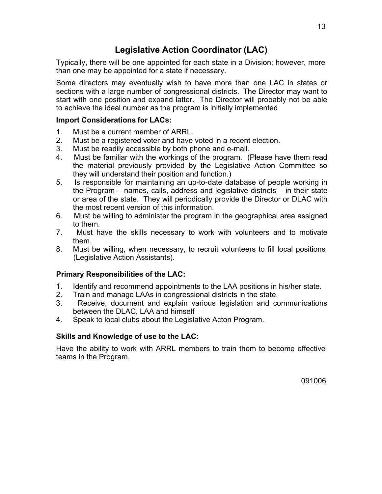# **Legislative Action Coordinator (LAC)**

Typically, there will be one appointed for each state in a Division; however, more than one may be appointed for a state if necessary.

Some directors may eventually wish to have more than one LAC in states or sections with a large number of congressional districts. The Director may want to start with one position and expand latter. The Director will probably not be able to achieve the ideal number as the program is initially implemented.

## **Import Considerations for LACs:**

- 1. Must be a current member of ARRL.
- 2. Must be a registered voter and have voted in a recent election.
- 3. Must be readily accessible by both phone and e-mail.
- 4. Must be familiar with the workings of the program. (Please have them read the material previously provided by the Legislative Action Committee so they will understand their position and function.)
- 5. Is responsible for maintaining an up-to-date database of people working in the Program – names, calls, address and legislative districts – in their state or area of the state. They will periodically provide the Director or DLAC with the most recent version of this information.
- 6. Must be willing to administer the program in the geographical area assigned to them.
- 7. Must have the skills necessary to work with volunteers and to motivate them.
- 8. Must be willing, when necessary, to recruit volunteers to fill local positions (Legislative Action Assistants).

# **Primary Responsibilities of the LAC:**

- 1. Identify and recommend appointments to the LAA positions in his/her state.
- 2. Train and manage LAAs in congressional districts in the state.
- 3. Receive, document and explain various legislation and communications between the DLAC, LAA and himself
- 4. Speak to local clubs about the Legislative Acton Program.

# **Skills and Knowledge of use to the LAC:**

Have the ability to work with ARRL members to train them to become effective teams in the Program.

091006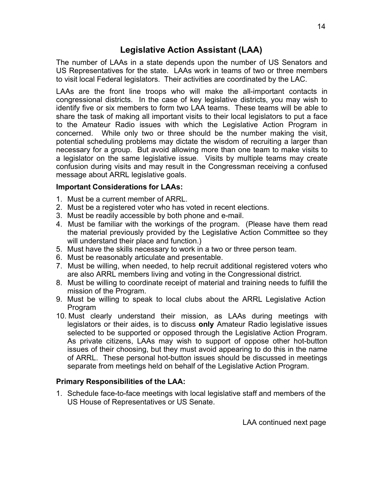# **Legislative Action Assistant (LAA)**

The number of LAAs in a state depends upon the number of US Senators and US Representatives for the state. LAAs work in teams of two or three members to visit local Federal legislators. Their activities are coordinated by the LAC.

LAAs are the front line troops who will make the all-important contacts in congressional districts. In the case of key legislative districts, you may wish to identify five or six members to form two LAA teams. These teams will be able to share the task of making all important visits to their local legislators to put a face to the Amateur Radio issues with which the Legislative Action Program in concerned. While only two or three should be the number making the visit, potential scheduling problems may dictate the wisdom of recruiting a larger than necessary for a group. But avoid allowing more than one team to make visits to a legislator on the same legislative issue. Visits by multiple teams may create confusion during visits and may result in the Congressman receiving a confused message about ARRL legislative goals.

## **Important Considerations for LAAs:**

- 1. Must be a current member of ARRL.
- 2. Must be a registered voter who has voted in recent elections.
- 3. Must be readily accessible by both phone and e-mail.
- 4. Must be familiar with the workings of the program. (Please have them read the material previously provided by the Legislative Action Committee so they will understand their place and function.)
- 5. Must have the skills necessary to work in a two or three person team.
- 6. Must be reasonably articulate and presentable.
- 7. Must be willing, when needed, to help recruit additional registered voters who are also ARRL members living and voting in the Congressional district.
- 8. Must be willing to coordinate receipt of material and training needs to fulfill the mission of the Program.
- 9. Must be willing to speak to local clubs about the ARRL Legislative Action Program
- 10. Must clearly understand their mission, as LAAs during meetings with legislators or their aides, is to discuss **only** Amateur Radio legislative issues selected to be supported or opposed through the Legislative Action Program. As private citizens, LAAs may wish to support of oppose other hot-button issues of their choosing, but they must avoid appearing to do this in the name of ARRL. These personal hot-button issues should be discussed in meetings separate from meetings held on behalf of the Legislative Action Program.

# **Primary Responsibilities of the LAA:**

1. Schedule face-to-face meetings with local legislative staff and members of the US House of Representatives or US Senate.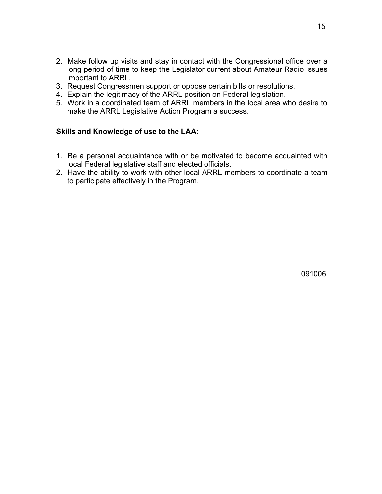- 2. Make follow up visits and stay in contact with the Congressional office over a long period of time to keep the Legislator current about Amateur Radio issues important to ARRL.
- 3. Request Congressmen support or oppose certain bills or resolutions.
- 4. Explain the legitimacy of the ARRL position on Federal legislation.
- 5. Work in a coordinated team of ARRL members in the local area who desire to make the ARRL Legislative Action Program a success.

### **Skills and Knowledge of use to the LAA:**

- 1. Be a personal acquaintance with or be motivated to become acquainted with local Federal legislative staff and elected officials.
- 2. Have the ability to work with other local ARRL members to coordinate a team to participate effectively in the Program.

091006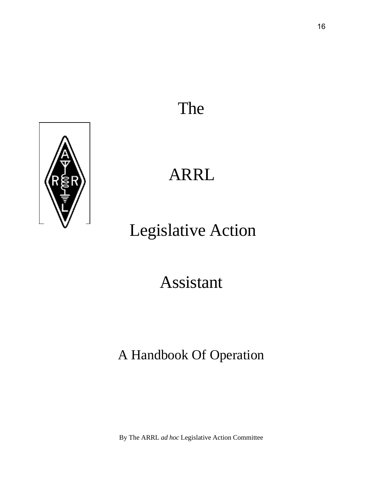# The



# ARRL

# Legislative Action

# Assistant

# A Handbook Of Operation

By The ARRL *ad hoc* Legislative Action Committee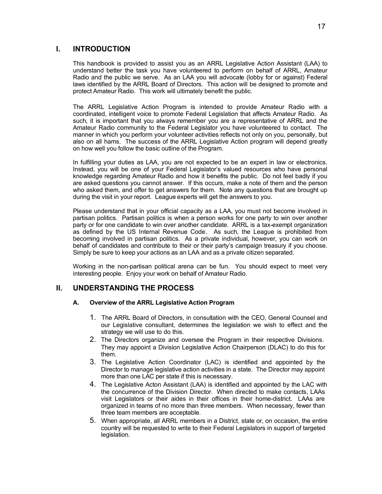#### **I. INTRODUCTION**

This handbook is provided to assist you as an ARRL Legislative Action Assistant (LAA) to understand better the task you have volunteered to perform on behalf of ARRL, Amateur Radio and the public we serve. As an LAA you will advocate (lobby for or against) Federal laws identified by the ARRL Board of Directors. This action will be designed to promote and protect Amateur Radio. This work will ultimately benefit the public.

The ARRL Legislative Action Program is intended to provide Amateur Radio with a coordinated, intelligent voice to promote Federal Legislation that affects Amateur Radio. As such, it is important that you always remember you are a representative of ARRL and the Amateur Radio community to the Federal Legislator you have volunteered to contact. The manner in which you perform your volunteer activities reflects not only on you, personally, but also on all hams. The success of the ARRL Legislative Action program will depend greatly on how well you follow the basic outline of the Program.

In fulfilling your duties as LAA, you are not expected to be an expert in law or electronics. Instead, you will be one of your Federal Legislator's valued resources who have personal knowledge regarding Amateur Radio and how it benefits the public. Do not feel badly if you are asked questions you cannot answer. If this occurs, make a note of them and the person who asked them, and offer to get answers for them. Note any questions that are brought up during the visit in your report. League experts will get the answers to you.

Please understand that in your official capacity as a LAA, you must not become involved in partisan politics. Partisan politics is when a person works for one party to win over another party or for one candidate to win over another candidate. ARRL is a tax-exempt organization as defined by the US Internal Revenue Code. As such, the League is prohibited from becoming involved in partisan politics. As a private individual, however, you can work on behalf of candidates and contribute to their or their party's campaign treasury if you choose. Simply be sure to keep your actions as an LAA and as a private citizen separated.

Working in the non-partisan political arena can be fun. You should expect to meet very interesting people. Enjoy your work on behalf of Amateur Radio.

#### **II. UNDERSTANDING THE PROCESS**

#### **A. Overview of the ARRL Legislative Action Program**

- 1. The ARRL Board of Directors, in consultation with the CEO, General Counsel and our Legislative consultant, determines the legislation we wish to effect and the strategy we will use to do this.
- 2. The Directors organize and oversee the Program in their respective Divisions. They may appoint a Division Legislative Action Chairperson (DLAC) to do this for them.
- 3. The Legislative Action Coordinator (LAC) is identified and appointed by the Director to manage legislative action activities in a state. The Director may appoint more than one LAC per state if this is necessary.
- 4. The Legislative Acton Assistant (LAA) is identified and appointed by the LAC with the concurrence of the Division Director. When directed to make contacts, LAAs visit Legislators or their aides in their offices in their home-district. LAAs are organized in teams of no more than three members. When necessary, fewer than three team members are acceptable.
- 5. When appropriate, all ARRL members in a District, state or, on occasion, the entire country will be requested to write to their Federal Legislators in support of targeted legislation.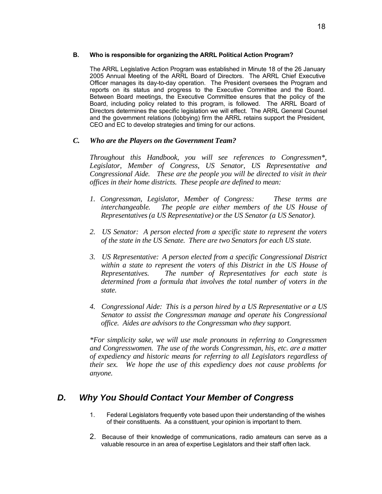#### **B. Who is responsible for organizing the ARRL Political Action Program?**

The ARRL Legislative Action Program was established in Minute 18 of the 26 January 2005 Annual Meeting of the ARRL Board of Directors. The ARRL Chief Executive Officer manages its day-to-day operation. The President oversees the Program and reports on its status and progress to the Executive Committee and the Board. Between Board meetings, the Executive Committee ensures that the policy of the Board, including policy related to this program, is followed. The ARRL Board of Directors determines the specific legislation we will effect. The ARRL General Counsel and the government relations (lobbying) firm the ARRL retains support the President, CEO and EC to develop strategies and timing for our actions.

#### *C. Who are the Players on the Government Team?*

*Throughout this Handbook, you will see references to Congressmen\*, Legislator, Member of Congress, US Senator, US Representative and Congressional Aide. These are the people you will be directed to visit in their offices in their home districts. These people are defined to mean:*

- *1. Congressman, Legislator, Member of Congress: These terms are interchangeable. The people are either members of the US House of Representatives (a US Representative) or the US Senator (a US Senator).*
- *2. US Senator: A person elected from a specific state to represent the voters of the state in the US Senate. There are two Senators for each US state.*
- *3. US Representative: A person elected from a specific Congressional District within a state to represent the voters of this District in the US House of Representatives. The number of Representatives for each state is determined from a formula that involves the total number of voters in the state.*
- *4. Congressional Aide: This is a person hired by a US Representative or a US Senator to assist the Congressman manage and operate his Congressional office. Aides are advisors to the Congressman who they support.*

*\*For simplicity sake, we will use male pronouns in referring to Congressmen and Congresswomen. The use of the words Congressman, his, etc. are a matter of expediency and historic means for referring to all Legislators regardless of their sex. We hope the use of this expediency does not cause problems for anyone.*

# *D. Why You Should Contact Your Member of Congress*

- 1. Federal Legislators frequently vote based upon their understanding of the wishes of their constituents. As a constituent, your opinion is important to them.
- 2. Because of their knowledge of communications, radio amateurs can serve as a valuable resource in an area of expertise Legislators and their staff often lack.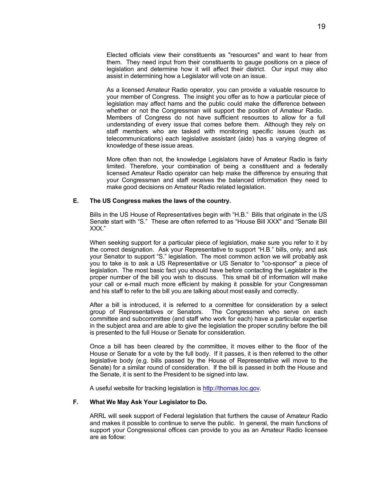Elected officials view their constituents as "resources" and want to hear from them. They need input from their constituents to gauge positions on a piece of legislation and determine how it will affect their district. Our input may also assist in determining how a Legislator will vote on an issue.

As a licensed Amateur Radio operator, you can provide a valuable resource to your member of Congress. The insight you offer as to how a particular piece of legislation may affect hams and the public could make the difference between whether or not the Congressman will support the position of Amateur Radio. Members of Congress do not have sufficient resources to allow for a full understanding of every issue that comes before them. Although they rely on staff members who are tasked with monitoring specific issues (such as telecommunications) each legislative assistant (aide) has a varying degree of knowledge of these issue areas.

More often than not, the knowledge Legislators have of Amateur Radio is fairly limited. Therefore, your combination of being a constituent and a federally licensed Amateur Radio operator can help make the difference by ensuring that your Congressman and staff receives the balanced information they need to make good decisions on Amateur Radio related legislation.

#### **E. The US Congress makes the laws of the country.**

Bills in the US House of Representatives begin with "H.B." Bills that originate in the US Senate start with "S." These are often referred to as "House Bill XXX" and "Senate Bill XXX."

When seeking support for a particular piece of legislation, make sure you refer to it by the correct designation. Ask your Representative to support "H.B." bills, only, and ask your Senator to support "S." legislation. The most common action we will probably ask you to take is to ask a US Representative or US Senator to "co-sponsor" a piece of legislation. The most basic fact you should have before contacting the Legislator is the proper number of the bill you wish to discuss. This small bit of information will make your call or e-mail much more efficient by making it possible for your Congressman and his staff to refer to the bill you are talking about most easily and correctly.

After a bill is introduced, it is referred to a committee for consideration by a select group of Representatives or Senators. The Congressmen who serve on each committee and subcommittee (and staff who work for each) have a particular expertise in the subject area and are able to give the legislation the proper scrutiny before the bill is presented to the full House or Senate for consideration.

Once a bill has been cleared by the committee, it moves either to the floor of the House or Senate for a vote by the full body. If it passes, it is then referred to the other legislative body (e.g. bills passed by the House of Representative will move to the Senate) for a similar round of consideration. If the bill is passed in both the House and the Senate, it is sent to the President to be signed into law.

A useful website for tracking legislation is http://thomas.loc.gov.

#### **F. What We May Ask Your Legislator to Do.**

ARRL will seek support of Federal legislation that furthers the cause of Amateur Radio and makes it possible to continue to serve the public. In general, the main functions of support your Congressional offices can provide to you as an Amateur Radio licensee are as follow: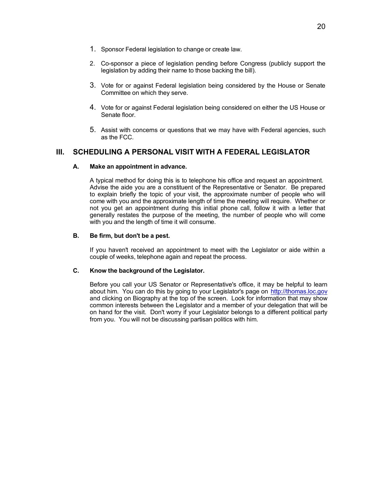- 1. Sponsor Federal legislation to change or create law.
- 2. Co-sponsor a piece of legislation pending before Congress (publicly support the legislation by adding their name to those backing the bill).
- 3. Vote for or against Federal legislation being considered by the House or Senate Committee on which they serve.
- 4. Vote for or against Federal legislation being considered on either the US House or Senate floor.
- 5. Assist with concerns or questions that we may have with Federal agencies, such as the FCC.

# **III. SCHEDULING A PERSONAL VISIT WITH A FEDERAL LEGISLATOR**

#### **A. Make an appointment in advance.**

A typical method for doing this is to telephone his office and request an appointment. Advise the aide you are a constituent of the Representative or Senator. Be prepared to explain briefly the topic of your visit, the approximate number of people who will come with you and the approximate length of time the meeting will require. Whether or not you get an appointment during this initial phone call, follow it with a letter that generally restates the purpose of the meeting, the number of people who will come with you and the length of time it will consume.

#### **B. Be firm, but don't be a pest.**

If you haven't received an appointment to meet with the Legislator or aide within a couple of weeks, telephone again and repeat the process.

#### **C. Know the background of the Legislator.**

Before you call your US Senator or Representative's office, it may be helpful to learn about him. You can do this by going to your Legislator's page on http://thomas.loc.gov and clicking on Biography at the top of the screen. Look for information that may show common interests between the Legislator and a member of your delegation that will be on hand for the visit. Don't worry if your Legislator belongs to a different political party from you. You will not be discussing partisan politics with him.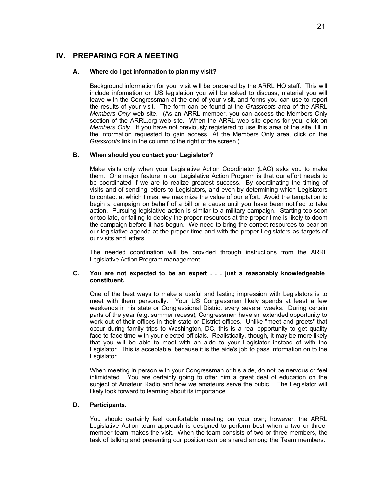#### **IV. PREPARING FOR A MEETING**

#### **A. Where do I get information to plan my visit?**

Background information for your visit will be prepared by the ARRL HQ staff. This will include information on US legislation you will be asked to discuss, material you will leave with the Congressman at the end of your visit, and forms you can use to report the results of your visit. The form can be found at the *Grassroots* area of the ARRL *Members Only* web site. (As an ARRL member, you can access the Members Only section of the ARRL.org web site. When the ARRL web site opens for you, click on *Members Only*. If you have not previously registered to use this area of the site, fill in the information requested to gain access. At the Members Only area, click on the *Grassroots* link in the column to the right of the screen.)

#### **B. When should you contact your Legislator?**

Make visits only when your Legislative Action Coordinator (LAC) asks you to make them. One major feature in our Legislative Action Program is that our effort needs to be coordinated if we are to realize greatest success. By coordinating the timing of visits and of sending letters to Legislators, and even by determining which Legislators to contact at which times, we maximize the value of our effort. Avoid the temptation to begin a campaign on behalf of a bill or a cause until you have been notified to take action. Pursuing legislative action is similar to a military campaign. Starting too soon or too late, or failing to deploy the proper resources at the proper time is likely to doom the campaign before it has begun. We need to bring the correct resources to bear on our legislative agenda at the proper time and with the proper Legislators as targets of our visits and letters.

The needed coordination will be provided through instructions from the ARRL Legislative Action Program management.

#### **C. You are not expected to be an expert . . . just a reasonably knowledgeable constituent.**

One of the best ways to make a useful and lasting impression with Legislators is to meet with them personally. Your US Congressmen likely spends at least a few weekends in his state or Congressional District every several weeks. During certain parts of the year (e.g. summer recess), Congressmen have an extended opportunity to work out of their offices in their state or District offices. Unlike "meet and greets" that occur during family trips to Washington, DC, this is a real opportunity to get quality face-to-face time with your elected officials. Realistically, though, it may be more likely that you will be able to meet with an aide to your Legislator instead of with the Legislator. This is acceptable, because it is the aide's job to pass information on to the Legislator.

When meeting in person with your Congressman or his aide, do not be nervous or feel intimidated. You are certainly going to offer him a great deal of education on the subject of Amateur Radio and how we amateurs serve the pubic. The Legislator will likely look forward to learning about its importance.

#### **D. Participants.**

You should certainly feel comfortable meeting on your own; however, the ARRL Legislative Action team approach is designed to perform best when a two or threemember team makes the visit. When the team consists of two or three members, the task of talking and presenting our position can be shared among the Team members.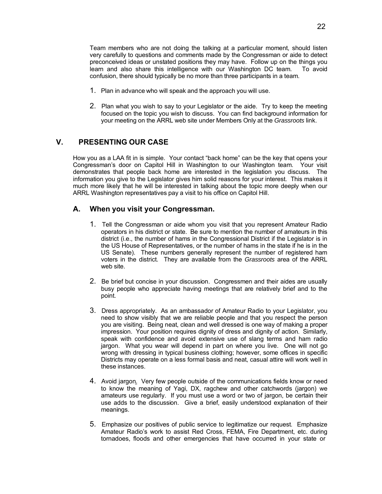Team members who are not doing the talking at a particular moment, should listen very carefully to questions and comments made by the Congressman or aide to detect preconceived ideas or unstated positions they may have. Follow up on the things you learn and also share this intelligence with our Washington DC team. To avoid confusion, there should typically be no more than three participants in a team.

- 1. Plan in advance who will speak and the approach you will use.
- 2. Plan what you wish to say to your Legislator or the aide. Try to keep the meeting focused on the topic you wish to discuss. You can find background information for your meeting on the ARRL web site under Members Only at the *Grassroots* link.

### **V. PRESENTING OUR CASE**

How you as a LAA fit in is simple. Your contact "back home" can be the key that opens your Congressman's door on Capitol Hill in Washington to our Washington team. Your visit demonstrates that people back home are interested in the legislation you discuss. The information you give to the Legislator gives him solid reasons for your interest. This makes it much more likely that he will be interested in talking about the topic more deeply when our ARRL Washington representatives pay a visit to his office on Capitol Hill.

#### **A. When you visit your Congressman.**

- 1. Tell the Congressman or aide whom you visit that you represent Amateur Radio operators in his district or state. Be sure to mention the number of amateurs in this district (i.e., the number of hams in the Congressional District if the Legislator is in the US House of Representatives, or the number of hams in the state if he is in the US Senate). These numbers generally represent the number of registered ham voters in the district. They are available from the *Grassroots* area of the ARRL web site.
- 2. Be brief but concise in your discussion. Congressmen and their aides are usually busy people who appreciate having meetings that are relatively brief and to the point.
- 3. Dress appropriately. As an ambassador of Amateur Radio to your Legislator, you need to show visibly that we are reliable people and that you respect the person you are visiting. Being neat, clean and well dressed is one way of making a proper impression. Your position requires dignity of dress and dignity of action. Similarly, speak with confidence and avoid extensive use of slang terms and ham radio jargon. What you wear will depend in part on where you live. One will not go wrong with dressing in typical business clothing; however, some offices in specific Districts may operate on a less formal basis and neat, casual attire will work well in these instances.
- 4. Avoid jargon. Very few people outside of the communications fields know or need to know the meaning of Yagi, DX, ragchew and other catchwords (jargon) we amateurs use regularly. If you must use a word or two of jargon, be certain their use adds to the discussion. Give a brief, easily understood explanation of their meanings.
- 5. Emphasize our positives of public service to legitimatize our request. Emphasize Amateur Radio's work to assist Red Cross, FEMA, Fire Department, etc. during tornadoes, floods and other emergencies that have occurred in your state or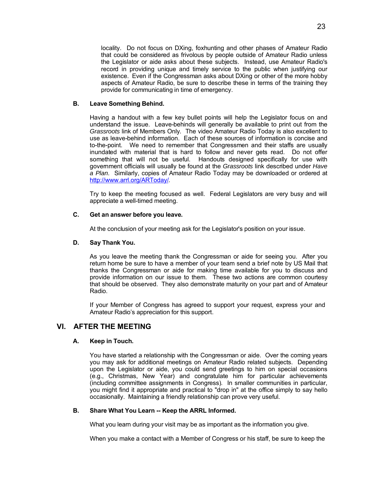locality. Do not focus on DXing, foxhunting and other phases of Amateur Radio that could be considered as frivolous by people outside of Amateur Radio unless the Legislator or aide asks about these subjects. Instead, use Amateur Radio's record in providing unique and timely service to the public when justifying our existence. Even if the Congressman asks about DXing or other of the more hobby aspects of Amateur Radio, be sure to describe these in terms of the training they provide for communicating in time of emergency.

#### **B. Leave Something Behind.**

Having a handout with a few key bullet points will help the Legislator focus on and understand the issue. Leave-behinds will generally be available to print out from the *Grassroots* link of Members Only*.* The video Amateur Radio Today is also excellent to use as leave-behind information. Each of these sources of information is concise and to-the-point. We need to remember that Congressmen and their staffs are usually inundated with material that is hard to follow and never gets read. Do not offer something that will not be useful. Handouts designed specifically for use with government officials will usually be found at the *Grassroots* link described under *Have a Plan*. Similarly, copies of Amateur Radio Today may be downloaded or ordered at http://www.arrl.org/ARToday/.

Try to keep the meeting focused as well. Federal Legislators are very busy and will appreciate a well-timed meeting.

#### **C. Get an answer before you leave.**

At the conclusion of your meeting ask for the Legislator's position on your issue.

#### **D. Say Thank You.**

As you leave the meeting thank the Congressman or aide for seeing you. After you return home be sure to have a member of your team send a brief note by US Mail that thanks the Congressman or aide for making time available for you to discuss and provide information on our issue to them. These two actions are common courtesy that should be observed. They also demonstrate maturity on your part and of Amateur Radio.

If your Member of Congress has agreed to support your request, express your and Amateur Radio's appreciation for this support.

#### **VI. AFTER THE MEETING**

#### **A. Keep in Touch.**

You have started a relationship with the Congressman or aide. Over the coming years you may ask for additional meetings on Amateur Radio related subjects. Depending upon the Legislator or aide, you could send greetings to him on special occasions (e.g., Christmas, New Year) and congratulate him for particular achievements (including committee assignments in Congress). In smaller communities in particular, you might find it appropriate and practical to "drop in" at the office simply to say hello occasionally. Maintaining a friendly relationship can prove very useful.

#### **B. Share What You Learn -- Keep the ARRL Informed.**

What you learn during your visit may be as important as the information you give.

When you make a contact with a Member of Congress or his staff, be sure to keep the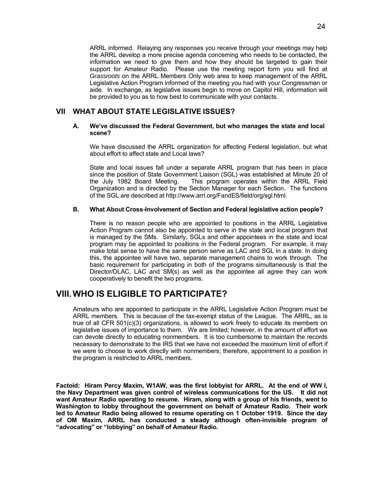ARRL informed. Relaying any responses you receive through your meetings may help the ARRL develop a more precise agenda concerning who needs to be contacted, the information we need to give them and how they should be targeted to gain their support for Amateur Radio. Please use the meeting report form you will find at *Grassroots* on the ARRL Members Only web area to keep management of the ARRL Legislative Action Program informed of the meeting you had with your Congressman or aide. In exchange, as legislative issues begin to move on Capitol Hill, information will be provided to you as to how best to communicate with your contacts.

#### **VII WHAT ABOUT STATE LEGISLATIVE ISSUES?**

#### **A. We've discussed the Federal Government, but who manages the state and local scene?**

We have discussed the ARRL organization for affecting Federal legislation, but what about effort to affect state and Local laws?

State and local issues fall under a separate ARRL program that has been in place since the position of State Government Liaison (SGL) was established at Minute 20 of the July 1982 Board Meeting. This program operates within the ARRL Field Organization and is directed by the Section Manager for each Section. The functions of the SGL are described at http://www.arrl.org/FandES/field/org/sgl.html.

#### **B. What About Cross-Involvement of Section and Federal legislative action people?**

There is no reason people who are appointed to positions in the ARRL Legislative Action Program cannot also be appointed to serve in the state and local program that is managed by the SMs. Similarly, SGLs and other appointees in the state and local program may be appointed to positions in the Federal program. For example, it may make total sense to have the same person serve as LAC and SGL in a state. In doing this, the appointee will have two, separate management chains to work through. The basic requirement for participating in both of the programs simultaneously is that the Director/DLAC, LAC and SM(s) as well as the appointee all agree they can work cooperatively to benefit the two programs.

# **VIII. WHO IS ELIGIBLE TO PARTICIPATE?**

Amateurs who are appointed to participate in the ARRL Legislative Action Program must be ARRL members. This is because of the tax-exempt status of the League. The ARRL, as is true of all CFR 501(c)(3) organizations, is allowed to work freely to educate its members on legislative issues of importance to them. We are limited; however, in the amount of effort we can devote directly to educating nonmembers. It is too cumbersome to maintain the records necessary to demonstrate to the IRS that we have not exceeded the maximum limit of effort if we were to choose to work directly with nonmembers; therefore, appointment to a position in the program is restricted to ARRL members.

**Factoid: Hiram Percy Maxim, W1AW, was the first lobbyist for ARRL. At the end of WW I, the Navy Department was given control of wireless communications for the US. It did not want Amateur Radio operating to resume. Hiram, along with a group of his friends, went to Washington to lobby throughout the government on behalf of Amateur Radio. Their work led to Amateur Radio being allowed to resume operating on 1 October 1919. Since the day of OM Maxim, ARRL has conducted a steady although often-invisible program of "advocating" or "lobbying" on behalf of Amateur Radio.**